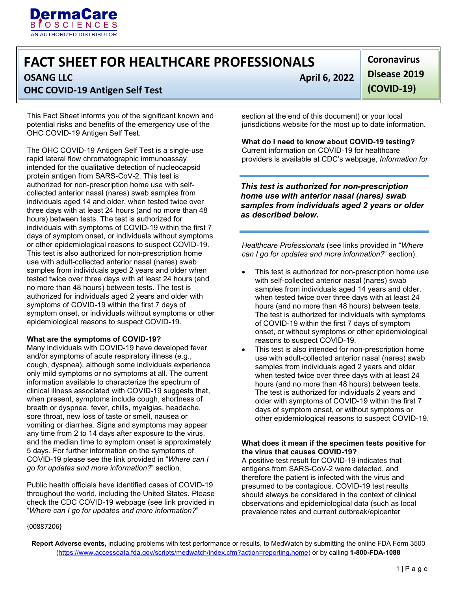

# **FACT SHEET FOR HEALTHCARE PROFESSIONALS**

## **OHC COVID-19 Antigen Self Test**

This Fact Sheet informs you of the significant known and potential risks and benefits of the emergency use of the OHC COVID-19 Antigen Self Test.

 This test is also authorized for non-prescription home tested twice over three days with at least 24 hours (and The OHC COVID-19 Antigen Self Test is a single-use rapid lateral flow chromatographic immunoassay intended for the qualitative detection of nucleocapsid protein antigen from SARS-CoV-2. This test is authorized for non-prescription home use with selfcollected anterior nasal (nares) swab samples from individuals aged 14 and older, when tested twice over three days with at least 24 hours (and no more than 48 hours) between tests. The test is authorized for individuals with symptoms of COVID-19 within the first 7 days of symptom onset, or individuals without symptoms or other epidemiological reasons to suspect COVID-19. use with adult-collected anterior nasal (nares) swab samples from individuals aged 2 years and older when no more than 48 hours) between tests. The test is authorized for individuals aged 2 years and older with symptoms of COVID-19 within the first 7 days of symptom onset, or individuals without symptoms or other epidemiological reasons to suspect COVID-19.

#### **What are the symptoms of COVID-19?**

Many individuals with COVID-19 have developed fever and/or symptoms of acute respiratory illness (e.g., cough, dyspnea), although some individuals experience only mild symptoms or no symptoms at all. The current information available to characterize the spectrum of clinical illness associated with COVID-19 suggests that, when present, symptoms include cough, shortness of breath or dyspnea, fever, chills, myalgias, headache, sore throat, new loss of taste or smell, nausea or vomiting or diarrhea. Signs and symptoms may appear any time from 2 to 14 days after exposure to the virus, and the median time to symptom onset is approximately 5 days. For further information on the symptoms of COVID-19 please see the link provided in "*Where can I go for updates and more information?*" section.

Public health officials have identified cases of COVID-19 throughout the world, including the United States. Please check the CDC COVID-19 webpage (see link provided in "*Where can I go for updates and more information?*"

**OSANG LLC** April 6, 2022

**Disease 2019** 

**Coronavirus** 

**(COVID-19)** 

Ϊ

 jurisdictions website for the most up to date information. section at the end of this document) or your local

**What do I need to know about COVID-19 testing?** Current information on COVID-19 for healthcare providers is available at CDC's webpage, *Information for* 

*This test is authorized for non-prescription home use with anterior nasal (nares) swab samples from individuals aged 2 years or older as described below.* 

 *can I go for updates and more information?*" section). *Healthcare Professionals* (see links provided in "*Where* 

- This test is authorized for non-prescription home use with self-collected anterior nasal (nares) swab samples from individuals aged 14 years and older. when tested twice over three days with at least 24 hours (and no more than 48 hours) between tests. The test is authorized for individuals with symptoms of COVID-19 within the first 7 days of symptom onset, or without symptoms or other epidemiological reasons to suspect COVID-19.
- This test is also intended for non-prescription home use with adult-collected anterior nasal (nares) swab samples from individuals aged 2 years and older when tested twice over three days with at least 24 hours (and no more than 48 hours) between tests. The test is authorized for individuals 2 years and older with symptoms of COVID-19 within the first 7 days of symptom onset, or without symptoms or other epidemiological reasons to suspect COVID-19.

#### **What does it mean if the specimen tests positive for the virus that causes COVID-19?**

A positive test result for COVID-19 indicates that antigens from SARS-CoV-2 were detected, and therefore the patient is infected with the virus and presumed to be contagious. COVID-19 test results should always be considered in the context of clinical observations and epidemiological data (such as local prevalence rates and current outbreak/epicenter

{00887206}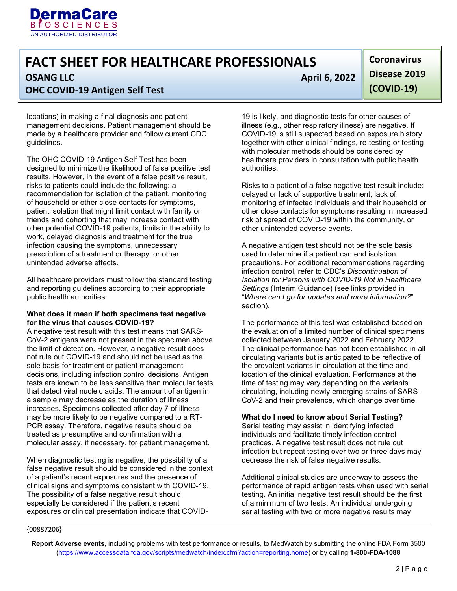

## **FACT SHEET FOR HEALTHCARE PROFESSIONALS OSANG LLC** April 6, 2022

ł **OHC COVID-19 Antigen Self Test** 

locations) in making a final diagnosis and patient management decisions. Patient management should be made by a healthcare provider and follow current CDC guidelines.

 recommendation for isolation of the patient, monitoring The OHC COVID-19 Antigen Self Test has been designed to minimize the likelihood of false positive test results. However, in the event of a false positive result, risks to patients could include the following: a of household or other close contacts for symptoms, patient isolation that might limit contact with family or friends and cohorting that may increase contact with other potential COVID-19 patients, limits in the ability to work, delayed diagnosis and treatment for the true infection causing the symptoms, unnecessary prescription of a treatment or therapy, or other unintended adverse effects.

 public health authorities. All healthcare providers must follow the standard testing and reporting guidelines according to their appropriate

#### **for the virus that causes COVID-19? What does it mean if both specimens test negative**

 the limit of detection. However, a negative result does decisions, including infection control decisions. Antigen tests are known to be less sensitive than molecular tests A negative test result with this test means that SARS-CoV-2 antigens were not present in the specimen above not rule out COVID-19 and should not be used as the sole basis for treatment or patient management that detect viral nucleic acids. The amount of antigen in a sample may decrease as the duration of illness increases. Specimens collected after day 7 of illness may be more likely to be negative compared to a RT-PCR assay. Therefore, negative results should be treated as presumptive and confirmation with a molecular assay, if necessary, for patient management.

When diagnostic testing is negative, the possibility of a false negative result should be considered in the context of a patient's recent exposures and the presence of clinical signs and symptoms consistent with COVID-19. The possibility of a false negative result should especially be considered if the patient's recent exposures or clinical presentation indicate that COVID-

**Coronavirus Disease 2019 (COVID-19)** 

19 is likely, and diagnostic tests for other causes of illness (e.g., other respiratory illness) are negative. If COVID-19 is still suspected based on exposure history together with other clinical findings, re-testing or testing with molecular methods should be considered by healthcare providers in consultation with public health authorities.

Risks to a patient of a false negative test result include: delayed or lack of supportive treatment, lack of monitoring of infected individuals and their household or other close contacts for symptoms resulting in increased risk of spread of COVID-19 within the community, or other unintended adverse events.

 A negative antigen test should not be the sole basis used to determine if a patient can end isolation precautions. For additional recommendations regarding infection control, refer to CDC's *Discontinuation of Isolation for Persons with COVID-19 Not in Healthcare Settings* (Interim Guidance) (see links provided in "*Where can I go for updates and more information?*" section).

 the evaluation of a limited number of clinical specimens collected between January 2022 and February 2022. The performance of this test was established based on The clinical performance has not been established in all circulating variants but is anticipated to be reflective of the prevalent variants in circulation at the time and location of the clinical evaluation. Performance at the time of testing may vary depending on the variants circulating, including newly emerging strains of SARS-CoV-2 and their prevalence, which change over time.

#### **What do I need to know about Serial Testing?**

Serial testing may assist in identifying infected individuals and facilitate timely infection control practices. A negative test result does not rule out infection but repeat testing over two or three days may decrease the risk of false negative results.

Additional clinical studies are underway to assess the performance of rapid antigen tests when used with serial testing. An initial negative test result should be the first of a minimum of two tests. An individual undergoing serial testing with two or more negative results may

{00887206}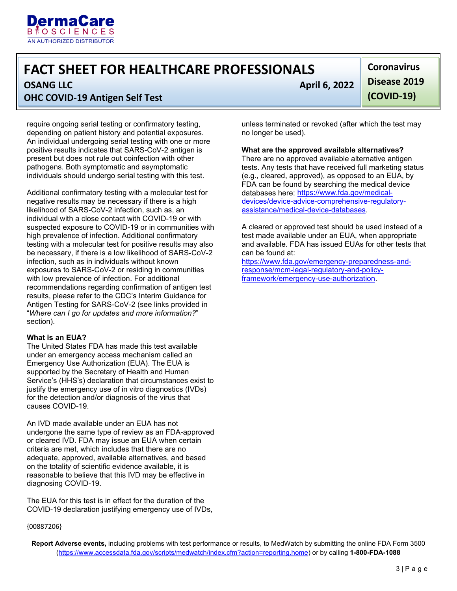

## **FACT SHEET FOR HEALTHCARE PROFESSIONALS**

l

**OSANG LLC** April 6, 2022

### **OHC COVID-19 Antigen Self Test**

require ongoing serial testing or confirmatory testing, depending on patient history and potential exposures. An individual undergoing serial testing with one or more positive results indicates that SARS-CoV-2 antigen is present but does not rule out coinfection with other pathogens. Both symptomatic and asymptomatic individuals should undergo serial testing with this test.

Additional confirmatory testing with a molecular test for negative results may be necessary if there is a high likelihood of SARS-CoV-2 infection, such as, an individual with a close contact with COVID-19 or with suspected exposure to COVID-19 or in communities with high prevalence of infection. Additional confirmatory testing with a molecular test for positive results may also be necessary, if there is a low likelihood of SARS-CoV-2 infection, such as in individuals without known exposures to SARS-CoV-2 or residing in communities with low prevalence of infection. For additional recommendations regarding confirmation of antigen test results, please refer to the CDC's Interim Guidance for Antigen Testing for SARS-CoV-2 (see links provided in "*Where can I go for updates and more information?*" section).

#### **What is an EUA?**

{00887206}

 Emergency Use Authorization (EUA). The EUA is The United States FDA has made this test available under an emergency access mechanism called an supported by the Secretary of Health and Human Service's (HHS's) declaration that circumstances exist to justify the emergency use of in vitro diagnostics (IVDs) for the detection and/or diagnosis of the virus that causes COVID-19.

 adequate, approved, available alternatives, and based An IVD made available under an EUA has not undergone the same type of review as an FDA-approved or cleared IVD. FDA may issue an EUA when certain criteria are met, which includes that there are no on the totality of scientific evidence available, it is reasonable to believe that this IVD may be effective in diagnosing COVID-19.

The EUA for this test is in effect for the duration of the COVID-19 declaration justifying emergency use of IVDs,

l

 **(COVID-19) Coronavirus Disease 2019** 

unless terminated or revoked (after which the test may no longer be used).

#### **What are the approved available alternatives?**

There are no approved available alternative antigen tests. Any tests [that have received full marketing status](https://www.fda.gov/medical-devices/device-advice-comprehensive-regulatory-assistance/medical-device-databases)  [\(e.g., cleared, approved\), as opposed to an EUA, by](https://www.fda.gov/medical-devices/device-advice-comprehensive-regulatory-assistance/medical-device-databases)  [FDA can be found by searching the me](https://www.fda.gov/medical-devices/device-advice-comprehensive-regulatory-assistance/medical-device-databases)dical device databases here: https://www.fda.gov/medicaldevices/device-advice-comprehensive-regulatoryassistance/medical-device-databases.

A cleared or approved test should be used instead of a [test made available under an EUA, when appropriate](https://www.fda.gov/emergency-preparedness-and-response/mcm-legal-regulatory-and-policy-framework/emergency-use-authorization)  [and available. FDA has issued EUAs for other tests that](https://www.fda.gov/emergency-preparedness-and-response/mcm-legal-regulatory-and-policy-framework/emergency-use-authorization)  [can be found at:](https://www.fda.gov/emergency-preparedness-and-response/mcm-legal-regulatory-and-policy-framework/emergency-use-authorization) 

https://www.fda.gov/emergency-preparedness-andresponse/mcm-legal-regulatory-and-policyframework/emergency-use-authorization.